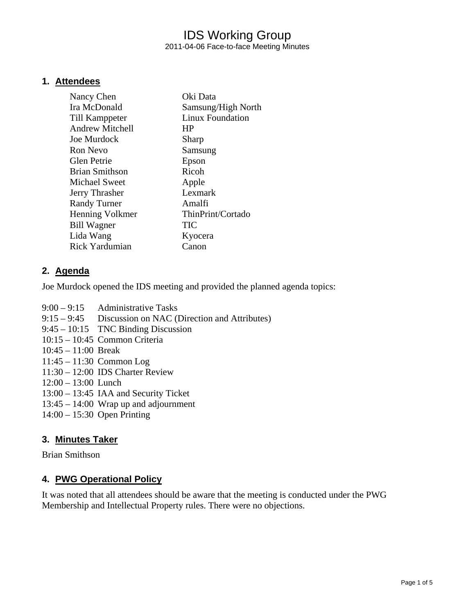### IDS Working Group 2011-04-06 Face-to-face Meeting Minutes

#### **1. Attendees**

| Nancy Chen             | Oki Data                |
|------------------------|-------------------------|
| Ira McDonald           | Samsung/High North      |
| Till Kamppeter         | <b>Linux Foundation</b> |
| <b>Andrew Mitchell</b> | <b>HP</b>               |
| Joe Murdock            | Sharp                   |
| <b>Ron Nevo</b>        | Samsung                 |
| <b>Glen Petrie</b>     | Epson                   |
| Brian Smithson         | Ricoh                   |
| Michael Sweet          | Apple                   |
| Jerry Thrasher         | Lexmark                 |
| <b>Randy Turner</b>    | Amalfi                  |
| Henning Volkmer        | ThinPrint/Cortado       |
| <b>Bill Wagner</b>     | <b>TIC</b>              |
| Lida Wang              | Kyocera                 |
| <b>Rick Yardumian</b>  | Canon                   |
|                        |                         |

#### **2. Agenda**

Joe Murdock opened the IDS meeting and provided the planned agenda topics:

- 9:00 9:15 Administrative Tasks
- 9:15 9:45 Discussion on NAC (Direction and Attributes)
- 9:45 10:15 TNC Binding Discussion
- 10:15 10:45 Common Criteria
- 10:45 11:00 Break
- 11:45 11:30 Common Log
- 11:30 12:00 IDS Charter Review
- 12:00 13:00 Lunch
- 13:00 13:45 IAA and Security Ticket
- 13:45 14:00 Wrap up and adjournment
- 14:00 15:30 Open Printing

#### **3. Minutes Taker**

Brian Smithson

#### **4. PWG Operational Policy**

It was noted that all attendees should be aware that the meeting is conducted under the PWG Membership and Intellectual Property rules. There were no objections.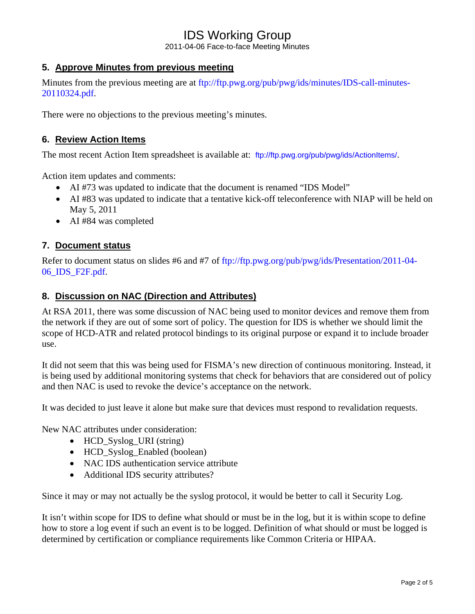## IDS Working Group

2011-04-06 Face-to-face Meeting Minutes

#### **5. Approve Minutes from previous meeting**

Minutes from the previous meeting are at ftp://ftp.pwg.org/pub/pwg/ids/minutes/IDS-call-minutes-20110324.pdf.

There were no objections to the previous meeting's minutes.

#### **6. Review Action Items**

The most recent Action Item spreadsheet is available at: ftp://ftp.pwg.org/pub/pwg/ids/ActionItems/.

Action item updates and comments:

- AI #73 was updated to indicate that the document is renamed "IDS Model"
- AI #83 was updated to indicate that a tentative kick-off teleconference with NIAP will be held on May 5, 2011
- AI #84 was completed

#### **7. Document status**

Refer to document status on slides #6 and #7 of ftp://ftp.pwg.org/pub/pwg/ids/Presentation/2011-04-06\_IDS\_F2F.pdf.

#### **8. Discussion on NAC (Direction and Attributes)**

At RSA 2011, there was some discussion of NAC being used to monitor devices and remove them from the network if they are out of some sort of policy. The question for IDS is whether we should limit the scope of HCD-ATR and related protocol bindings to its original purpose or expand it to include broader use.

It did not seem that this was being used for FISMA's new direction of continuous monitoring. Instead, it is being used by additional monitoring systems that check for behaviors that are considered out of policy and then NAC is used to revoke the device's acceptance on the network.

It was decided to just leave it alone but make sure that devices must respond to revalidation requests.

New NAC attributes under consideration:

- HCD\_Syslog\_URI (string)
- HCD\_Syslog\_Enabled (boolean)
- NAC IDS authentication service attribute
- Additional IDS security attributes?

Since it may or may not actually be the syslog protocol, it would be better to call it Security Log.

It isn't within scope for IDS to define what should or must be in the log, but it is within scope to define how to store a log event if such an event is to be logged. Definition of what should or must be logged is determined by certification or compliance requirements like Common Criteria or HIPAA.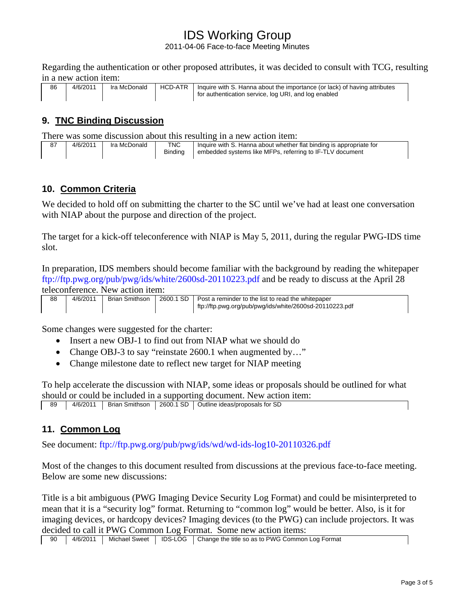# IDS Working Group

2011-04-06 Face-to-face Meeting Minutes

Regarding the authentication or other proposed attributes, it was decided to consult with TCG, resulting in a new action item:

| 86 | 4/6/2011 | Ira McDonald | HCD-ATR | I Inquire with S. Hanna about the importance (or lack) of having attributes |
|----|----------|--------------|---------|-----------------------------------------------------------------------------|
|    |          |              |         | for authentication service, log URI, and log enabled                        |

### **9. TNC Binding Discussion**

There was some discussion about this resulting in a new action item:

| 87 | 4/6/2011 | Ira McDonald | <b>TNC</b>     | Inquire with S. Hanna about whether flat binding is appropriate for |
|----|----------|--------------|----------------|---------------------------------------------------------------------|
|    |          |              | <b>Binding</b> | embedded systems like MFPs, referring to IF-TLV document            |

#### **10. Common Criteria**

We decided to hold off on submitting the charter to the SC until we've had at least one conversation with NIAP about the purpose and direction of the project.

The target for a kick-off teleconference with NIAP is May 5, 2011, during the regular PWG-IDS time slot.

In preparation, IDS members should become familiar with the background by reading the whitepaper ftp://ftp.pwg.org/pub/pwg/ids/white/2600sd-20110223.pdf and be ready to discuss at the April 28 teleconference. New action item:

| 88 | 4/6/2011 | Brian Smithson I | 2600.1 SD   Post a reminder to the list to read the whitepaper |
|----|----------|------------------|----------------------------------------------------------------|
|    |          |                  | ftp://ftp.pwg.org/pub/pwg/ids/white/2600sd-20110223.pdf        |

Some changes were suggested for the charter:

- Insert a new OBJ-1 to find out from NIAP what we should do
- Change OBJ-3 to say "reinstate 2600.1 when augmented by..."
- Change milestone date to reflect new target for NIAP meeting

To help accelerate the discussion with NIAP, some ideas or proposals should be outlined for what should or could be included in a supporting document. New action item:

89 | 4/6/2011 | Brian Smithson | 2600.1 SD | Outline ideas/proposals for SD

#### **11. Common Log**

See document: ftp://ftp.pwg.org/pub/pwg/ids/wd/wd-ids-log10-20110326.pdf

Most of the changes to this document resulted from discussions at the previous face-to-face meeting. Below are some new discussions:

Title is a bit ambiguous (PWG Imaging Device Security Log Format) and could be misinterpreted to mean that it is a "security log" format. Returning to "common log" would be better. Also, is it for imaging devices, or hardcopy devices? Imaging devices (to the PWG) can include projectors. It was decided to call it PWG Common Log Format. Some new action items: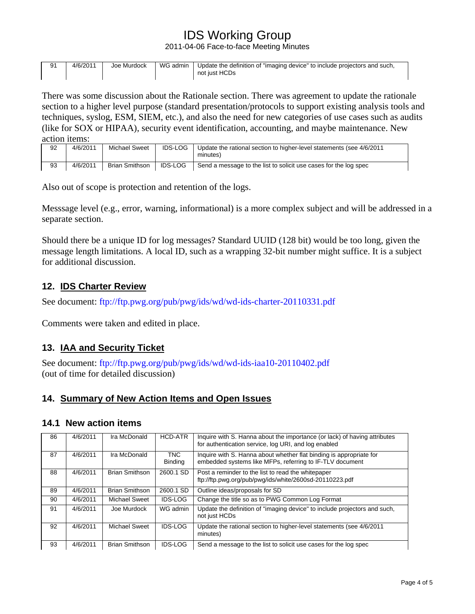# IDS Working Group

2011-04-06 Face-to-face Meeting Minutes

| 91 | 4/6/2011 | Joe Murdock | WG admin | Update the definition of "imaging device" to include projectors and such,<br>not just HCDs |
|----|----------|-------------|----------|--------------------------------------------------------------------------------------------|
|    |          |             |          |                                                                                            |

There was some discussion about the Rationale section. There was agreement to update the rationale section to a higher level purpose (standard presentation/protocols to support existing analysis tools and techniques, syslog, ESM, SIEM, etc.), and also the need for new categories of use cases such as audits (like for SOX or HIPAA), security event identification, accounting, and maybe maintenance. New action items:

| 92 | 4/6/2011 | <b>Michael Sweet</b> | <b>IDS-LOG</b> | Update the rational section to higher-level statements (see 4/6/2011<br>minutes) |
|----|----------|----------------------|----------------|----------------------------------------------------------------------------------|
| 93 | 4/6/2011 | Brian Smithson       | <b>IDS-LOG</b> | Send a message to the list to solicit use cases for the log spec                 |

Also out of scope is protection and retention of the logs.

Messsage level (e.g., error, warning, informational) is a more complex subject and will be addressed in a separate section.

Should there be a unique ID for log messages? Standard UUID (128 bit) would be too long, given the message length limitations. A local ID, such as a wrapping 32-bit number might suffice. It is a subject for additional discussion.

#### **12. IDS Charter Review**

See document: ftp://ftp.pwg.org/pub/pwg/ids/wd/wd-ids-charter-20110331.pdf

Comments were taken and edited in place.

#### **13. IAA and Security Ticket**

See document: ftp://ftp.pwg.org/pub/pwg/ids/wd/wd-ids-iaa10-20110402.pdf (out of time for detailed discussion)

#### **14. Summary of New Action Items and Open Issues**

#### **14.1 New action items**

| 86 | 4/6/2011 | Ira McDonald          | <b>HCD-ATR</b>               | Inquire with S. Hanna about the importance (or lack) of having attributes<br>for authentication service, log URI, and log enabled |
|----|----------|-----------------------|------------------------------|-----------------------------------------------------------------------------------------------------------------------------------|
| 87 | 4/6/2011 | Ira McDonald          | <b>TNC</b><br><b>Binding</b> | Inquire with S. Hanna about whether flat binding is appropriate for<br>embedded systems like MFPs, referring to IF-TLV document   |
| 88 | 4/6/2011 | <b>Brian Smithson</b> | 2600.1 SD                    | Post a reminder to the list to read the whitepaper<br>ftp://ftp.pwg.org/pub/pwg/ids/white/2600sd-20110223.pdf                     |
| 89 | 4/6/2011 | <b>Brian Smithson</b> | 2600.1 SD                    | Outline ideas/proposals for SD                                                                                                    |
| 90 | 4/6/2011 | Michael Sweet         | <b>IDS-LOG</b>               | Change the title so as to PWG Common Log Format                                                                                   |
| 91 | 4/6/2011 | Joe Murdock           | WG admin                     | Update the definition of "imaging device" to include projectors and such,<br>not just HCDs                                        |
| 92 | 4/6/2011 | <b>Michael Sweet</b>  | <b>IDS-LOG</b>               | Update the rational section to higher-level statements (see 4/6/2011<br>minutes)                                                  |
| 93 | 4/6/2011 | <b>Brian Smithson</b> | <b>IDS-LOG</b>               | Send a message to the list to solicit use cases for the log spec                                                                  |